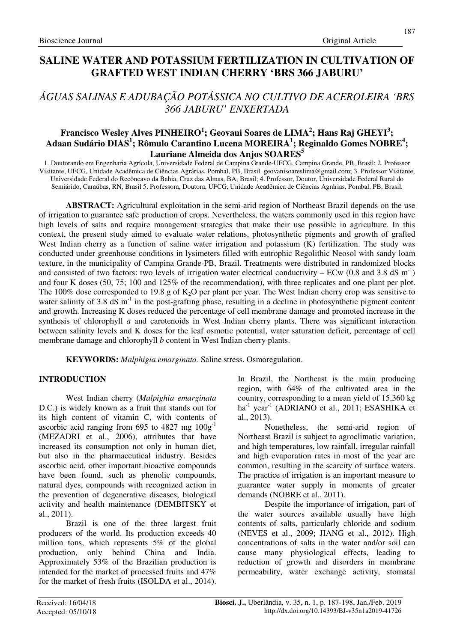# **SALINE WATER AND POTASSIUM FERTILIZATION IN CULTIVATION OF GRAFTED WEST INDIAN CHERRY 'BRS 366 JABURU'**

# *ÁGUAS SALINAS E ADUBAÇÃO POTÁSSICA NO CULTIVO DE ACEROLEIRA 'BRS 366 JABURU' ENXERTADA*

## **Francisco Wesley Alves PINHEIRO<sup>1</sup> ; Geovani Soares de LIMA<sup>2</sup> ; Hans Raj GHEYI<sup>3</sup> ; Adaan Sudário DIAS<sup>1</sup> ; Rômulo Carantino Lucena MOREIRA<sup>1</sup> ; Reginaldo Gomes NOBRE<sup>4</sup> ; Lauriane Almeida dos Anjos SOARES<sup>5</sup>**

1. Doutorando em Engenharia Agrícola, Universidade Federal de Campina Grande-UFCG, Campina Grande, PB, Brasil; 2. Professor Visitante, UFCG, Unidade Acadêmica de Ciências Agrárias, Pombal, PB, Brasil. geovanisoareslima@gmail.com; 3. Professor Visitante, Universidade Federal do Recôncavo da Bahia, Cruz das Almas, BA, Brasil; 4. Professor, Doutor, Universidade Federal Rural do Semiárido, Caraúbas, RN, Brasil 5. Professora, Doutora, UFCG, Unidade Acadêmica de Ciências Agrárias, Pombal, PB, Brasil.

**ABSTRACT:** Agricultural exploitation in the semi-arid region of Northeast Brazil depends on the use of irrigation to guarantee safe production of crops. Nevertheless, the waters commonly used in this region have high levels of salts and require management strategies that make their use possible in agriculture. In this context, the present study aimed to evaluate water relations, photosynthetic pigments and growth of grafted West Indian cherry as a function of saline water irrigation and potassium (K) fertilization. The study was conducted under greenhouse conditions in lysimeters filled with eutrophic Regolithic Neosol with sandy loam texture, in the municipality of Campina Grande-PB, Brazil. Treatments were distributed in randomized blocks and consisted of two factors: two levels of irrigation water electrical conductivity – ECw (0.8 and 3.8 dS m<sup>-1</sup>) and four K doses (50, 75; 100 and 125% of the recommendation), with three replicates and one plant per plot. The 100% dose corresponded to 19.8 g of  $K_2O$  per plant per year. The West Indian cherry crop was sensitive to water salinity of 3.8 dS  $m^{-1}$  in the post-grafting phase, resulting in a decline in photosynthetic pigment content and growth. Increasing K doses reduced the percentage of cell membrane damage and promoted increase in the synthesis of chlorophyll *a* and carotenoids in West Indian cherry plants. There was significant interaction between salinity levels and K doses for the leaf osmotic potential, water saturation deficit, percentage of cell membrane damage and chlorophyll *b* content in West Indian cherry plants.

**KEYWORDS:** *Malphigia emarginata.* Saline stress. Osmoregulation.

## **INTRODUCTION**

West Indian cherry (*Malpighia emarginata* D.C.) is widely known as a fruit that stands out for its high content of vitamin C, with contents of ascorbic acid ranging from 695 to 4827 mg  $100g^{-1}$ (MEZADRI et al., 2006), attributes that have increased its consumption not only in human diet, but also in the pharmaceutical industry. Besides ascorbic acid, other important bioactive compounds have been found, such as phenolic compounds, natural dyes, compounds with recognized action in the prevention of degenerative diseases, biological activity and health maintenance (DEMBITSKY et al., 2011).

Brazil is one of the three largest fruit producers of the world. Its production exceeds 40 million tons, which represents 5% of the global production, only behind China and India. Approximately 53% of the Brazilian production is intended for the market of processed fruits and 47% for the market of fresh fruits (ISOLDA et al., 2014). In Brazil, the Northeast is the main producing region, with 64% of the cultivated area in the country, corresponding to a mean yield of 15,360 kg  $ha^{-1}$  year<sup>-1</sup> (ADRIANO et al., 2011; ESASHIKA et al., 2013).

Nonetheless, the semi-arid region of Northeast Brazil is subject to agroclimatic variation, and high temperatures, low rainfall, irregular rainfall and high evaporation rates in most of the year are common, resulting in the scarcity of surface waters. The practice of irrigation is an important measure to guarantee water supply in moments of greater demands (NOBRE et al., 2011).

Despite the importance of irrigation, part of the water sources available usually have high contents of salts, particularly chloride and sodium (NEVES et al., 2009; JIANG et al., 2012). High concentrations of salts in the water and/or soil can cause many physiological effects, leading to reduction of growth and disorders in membrane permeability, water exchange activity, stomatal

187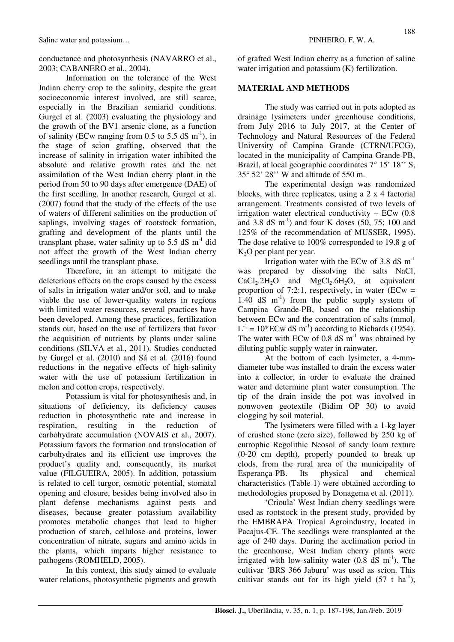conductance and photosynthesis (NAVARRO et al., 2003; CABANERO et al., 2004).

Information on the tolerance of the West Indian cherry crop to the salinity, despite the great socioeconomic interest involved, are still scarce, especially in the Brazilian semiarid conditions. Gurgel et al. (2003) evaluating the physiology and the growth of the BV1 arsenic clone, as a function of salinity (ECw ranging from  $0.5$  to  $5.5$  dS m<sup>-1</sup>), in the stage of scion grafting, observed that the increase of salinity in irrigation water inhibited the absolute and relative growth rates and the net assimilation of the West Indian cherry plant in the period from 50 to 90 days after emergence (DAE) of the first seedling. In another research, Gurgel et al. (2007) found that the study of the effects of the use of waters of different salinities on the production of saplings, involving stages of rootstock formation, grafting and development of the plants until the transplant phase, water salinity up to 5.5 dS  $m^{-1}$  did not affect the growth of the West Indian cherry seedlings until the transplant phase.

Therefore, in an attempt to mitigate the deleterious effects on the crops caused by the excess of salts in irrigation water and/or soil, and to make viable the use of lower-quality waters in regions with limited water resources, several practices have been developed. Among these practices, fertilization stands out, based on the use of fertilizers that favor the acquisition of nutrients by plants under saline conditions (SILVA et al*.*, 2011). Studies conducted by Gurgel et al. (2010) and Sá et al. (2016) found reductions in the negative effects of high-salinity water with the use of potassium fertilization in melon and cotton crops, respectively.

Potassium is vital for photosynthesis and, in situations of deficiency, its deficiency causes reduction in photosynthetic rate and increase in respiration, resulting in the reduction of carbohydrate accumulation (NOVAIS et al., 2007). Potassium favors the formation and translocation of carbohydrates and its efficient use improves the product's quality and, consequently, its market value (FILGUEIRA, 2005). In addition, potassium is related to cell turgor, osmotic potential, stomatal opening and closure, besides being involved also in plant defense mechanisms against pests and diseases, because greater potassium availability promotes metabolic changes that lead to higher production of starch, cellulose and proteins, lower concentration of nitrate, sugars and amino acids in the plants, which imparts higher resistance to pathogens (ROMHELD, 2005).

In this context, this study aimed to evaluate water relations, photosynthetic pigments and growth of grafted West Indian cherry as a function of saline water irrigation and potassium (K) fertilization.

## **MATERIAL AND METHODS**

The study was carried out in pots adopted as drainage lysimeters under greenhouse conditions, from July 2016 to July 2017, at the Center of Technology and Natural Resources of the Federal University of Campina Grande (CTRN/UFCG), located in the municipality of Campina Grande-PB, Brazil, at local geographic coordinates  $7^{\circ}$  15' 18'' S, 35° 52' 28'' W and altitude of 550 m.

The experimental design was randomized blocks, with three replicates, using a 2 x 4 factorial arrangement. Treatments consisted of two levels of irrigation water electrical conductivity – ECw (0.8 and 3.8 dS  $\text{m}^{-1}$ ) and four K doses (50, 75; 100 and 125% of the recommendation of MUSSER, 1995). The dose relative to 100% corresponded to 19.8 g of  $K<sub>2</sub>O$  per plant per year.

Irrigation water with the ECw of 3.8 dS  $m^{-1}$ was prepared by dissolving the salts NaCl,  $CaCl<sub>2</sub>.2H<sub>2</sub>O$  and  $MgCl<sub>2</sub>.6H<sub>2</sub>O$ , at equivalent proportion of 7:2:1, respectively, in water  $\text{(ECW)}$  = 1.40 dS  $m^{-1}$ ) from the public supply system of Campina Grande-PB, based on the relationship between ECw and the concentration of salts ( $mmol<sub>c</sub>$ )  $L^{-1} = 10*$  ECw dS m<sup>-1</sup>) according to Richards (1954). The water with ECw of 0.8 dS  $\text{m}$ <sup>-1</sup> was obtained by diluting public-supply water in rainwater.

At the bottom of each lysimeter, a 4-mmdiameter tube was installed to drain the excess water into a collector, in order to evaluate the drained water and determine plant water consumption. The tip of the drain inside the pot was involved in nonwoven geotextile (Bidim OP 30) to avoid clogging by soil material.

The lysimeters were filled with a 1-kg layer of crushed stone (zero size), followed by 250 kg of eutrophic Regolithic Neosol of sandy loam texture (0-20 cm depth), properly pounded to break up clods, from the rural area of the municipality of Esperança-PB. Its physical and chemical characteristics (Table 1) were obtained according to methodologies proposed by Donagema et al. (2011).

'Crioula' West Indian cherry seedlings were used as rootstock in the present study, provided by the EMBRAPA Tropical Agroindustry, located in Pacajus-CE. The seedlings were transplanted at the age of 240 days. During the acclimation period in the greenhouse, West Indian cherry plants were irrigated with low-salinity water  $(0.8 \text{ dS m}^{-1})$ . The cultivar 'BRS 366 Jaburu' was used as scion. This cultivar stands out for its high yield  $(57 \text{ t} \text{ ha}^{-1})$ ,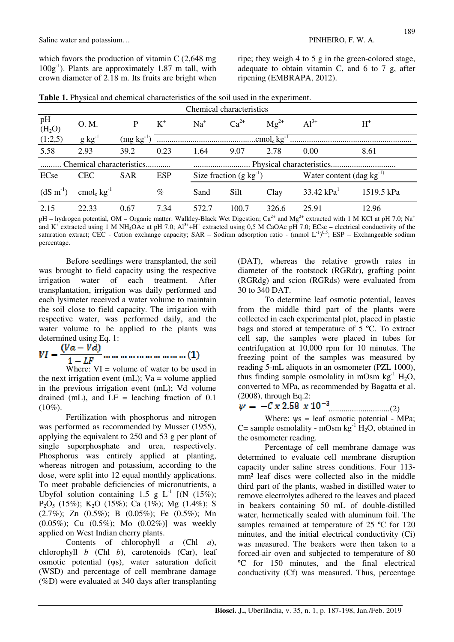which favors the production of vitamin C (2,648 mg  $100g^{-1}$ ). Plants are approximately 1.87 m tall, with crown diameter of 2.18 m. Its fruits are bright when ripe; they weigh 4 to 5 g in the green-colored stage, adequate to obtain vitamin C, and 6 to 7 g, after ripening (EMBRAPA, 2012).

|  |  |  | <b>Table 1.</b> Physical and chemical characteristics of the soil used in the experiment. |  |  |  |
|--|--|--|-------------------------------------------------------------------------------------------|--|--|--|
|--|--|--|-------------------------------------------------------------------------------------------|--|--|--|

| Chemical characteristics |                             |                |            |                                     |           |                                |              |            |
|--------------------------|-----------------------------|----------------|------------|-------------------------------------|-----------|--------------------------------|--------------|------------|
| pH<br>(H <sub>2</sub> O) | O. M.                       | P              | $K^+$      | $Na+$                               | $Ca^{2+}$ | $Mg^{2+}$                      | $Al^{3+}$    | $H^*$      |
| (1:2,5)                  | $g kg^{-1}$                 | $(mg kg^{-1})$ |            |                                     |           |                                |              |            |
| 5.58                     | 2.93                        | 39.2           | 0.23       | 1.64                                | 9.07      | 2.78                           | 0.00         | 8.61       |
| Chemical characteristics |                             |                |            |                                     |           |                                |              |            |
| ECse                     | <b>CEC</b>                  | <b>SAR</b>     | <b>ESP</b> | Size fraction $(g \text{ kg}^{-1})$ |           | Water content (dag $kg^{-1}$ ) |              |            |
| $(dS \, m^{-1})$         | cmol <sub>c</sub> $kg^{-1}$ |                | $\%$       | Sand                                | Silt      | Clay                           | 33.42 $kPa1$ | 1519.5 kPa |
| 2.15                     | 22.33                       | 0.67           | 7.34       | 572.7                               | 100.7     | 326.6                          | 25.91        | 12.96      |

pH – hydrogen potential, OM – Organic matter: Walkley-Black Wet Digestion;  $Ca^{2+}$  and Mg<sup>2+</sup> extracted with 1 M KCl at pH 7.0; Na<sup>+</sup> and  $K^+$  extracted using 1 M NH<sub>4</sub>OAc at pH 7.0;  $Al^{3+} + H^+$  extracted using 0,5 M CaOAc pH 7.0; ECse – electrical conductivity of the saturation extract; CEC - Cation exchange capacity; SAR – Sodium adsorption ratio - (mmol  $L^{-1}$ )<sup>0,5</sup>; ESP – Exchangeable sodium percentage.

Before seedlings were transplanted, the soil was brought to field capacity using the respective irrigation water of each treatment. After transplantation, irrigation was daily performed and each lysimeter received a water volume to maintain the soil close to field capacity. The irrigation with respective water, was performed daily, and the water volume to be applied to the plants was

determined using Eq. 1:<br> $VI = \frac{(Va - Vd)}{Vd}$  $1-LF$ 

Where:  $VI =$  volume of water to be used in the next irrigation event (mL);  $Va =$  volume applied in the previous irrigation event (mL); Vd volume drained (mL), and  $LF =$  leaching fraction of 0.1  $(10\%).$ 

Fertilization with phosphorus and nitrogen was performed as recommended by Musser (1955), applying the equivalent to 250 and 53 g per plant of single superphosphate and urea, respectively. Phosphorus was entirely applied at planting, whereas nitrogen and potassium, according to the dose, were split into 12 equal monthly applications. To meet probable deficiencies of micronutrients, a Ubyfol solution containing 1.5 g  $L^{-1}$  [(N (15%); P2O5 (15%); K2O (15%); Ca (1%); Mg (1.4%); S (2.7%); Zn (0.5%); B (0.05%); Fe (0.5%); Mn (0.05%); Cu (0.5%); Mo (0.02%)] was weekly applied on West Indian cherry plants.

Contents of chlorophyll *a* (Chl *a*), chlorophyll *b* (Chl *b*), carotenoids (Car), leaf osmotic potential (ψs), water saturation deficit (WSD) and percentage of cell membrane damage (%D) were evaluated at 340 days after transplanting (DAT), whereas the relative growth rates in diameter of the rootstock (RGRdr), grafting point (RGRdg) and scion (RGRds) were evaluated from 30 to 340 DAT.

To determine leaf osmotic potential, leaves from the middle third part of the plants were collected in each experimental plot, placed in plastic bags and stored at temperature of 5 ºC. To extract cell sap, the samples were placed in tubes for centrifugation at 10,000 rpm for 10 minutes. The freezing point of the samples was measured by reading 5-mL aliquots in an osmometer (PZL 1000), thus finding sample osmolality in mOsm  $kg^{-1}$  H<sub>2</sub>O, converted to MPa, as recommended by Bagatta et al. (2008), through Eq.2:

*.............................*(2)

Where:  $\psi$ s = leaf osmotic potential - MPa; C= sample osmolality - mOsm  $kg^{-1}$  H<sub>2</sub>O, obtained in the osmometer reading.

Percentage of cell membrane damage was determined to evaluate cell membrane disruption capacity under saline stress conditions. Four 113 mm<sup>2</sup> leaf discs were collected also in the middle third part of the plants, washed in distilled water to remove electrolytes adhered to the leaves and placed in beakers containing 50 mL of double-distilled water, hermetically sealed with aluminum foil. The samples remained at temperature of 25 °C for 120 minutes, and the initial electrical conductivity (Ci) was measured. The beakers were then taken to a forced-air oven and subjected to temperature of 80 ºC for 150 minutes, and the final electrical conductivity (Cf) was measured. Thus, percentage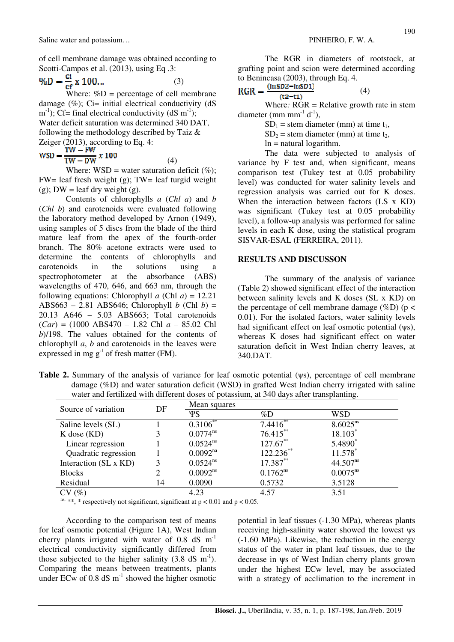of cell membrane damage was obtained according to Scotti-Campos et al. (2013), using Eq .3:

$$
\%D = \frac{ci}{cf} \times 100\tag{3}
$$

Where:  $\%D$  = percentage of cell membrane damage  $(\%)$ ; Ci= initial electrical conductivity (dS) m<sup>-1</sup>); Cf= final electrical conductivity (dS m<sup>-1</sup>); Water deficit saturation was determined 340 DAT, following the methodology described by Taiz & Zeiger (2013), according to Eq. 4:

$$
WSD = \frac{TW - FW}{TW - DW} \times 100
$$

Where:  $WSD = water saturation deficit (%)$ ; FW= leaf fresh weight (g); TW= leaf turgid weight (g);  $DW =$  leaf dry weight (g).

(4)

Contents of chlorophylls *a* (*Chl a*) and *b* (*Chl b*) and carotenoids were evaluated following the laboratory method developed by Arnon (1949), using samples of 5 discs from the blade of the third mature leaf from the apex of the fourth-order branch. The 80% acetone extracts were used to determine the contents of chlorophylls and carotenoids in the solutions using spectrophotometer at the absorbance (ABS) wavelengths of 470, 646, and 663 nm, through the following equations: Chlorophyll *a* (Chl *a*) = 12.21 ABS663 – 2.81 ABS646; Chlorophyll *b* (Chl *b*) = 20.13 A646 – 5.03 ABS663; Total carotenoids (*Car*) = (1000 ABS470 – 1.82 Chl *a* – 85.02 Chl *b*)/198. The values obtained for the contents of chlorophyll *a*, *b* and carotenoids in the leaves were expressed in mg  $g^{-1}$  of fresh matter (FM).

The RGR in diameters of rootstock, at grafting point and scion were determined according to Benincasa (2003), through Eq. 4.

$$
RGR = \frac{(mSDz - mSD1)}{(t2 - t1)}
$$
 (4)

Where*:* RGR = Relative growth rate in stem diameter (mm mm<sup>-1</sup> d<sup>-1</sup>).

 $SD_1$  = stem diameter (mm) at time t<sub>1</sub>,

 $SD<sub>2</sub>$  = stem diameter (mm) at time t<sub>2</sub>,

 $ln =$ natural logarithm.

The data were subjected to analysis of variance by F test and, when significant, means comparison test (Tukey test at 0.05 probability level) was conducted for water salinity levels and regression analysis was carried out for K doses. When the interaction between factors (LS x KD) was significant (Tukey test at 0.05 probability level), a follow-up analysis was performed for saline levels in each K dose, using the statistical program SISVAR-ESAL (FERREIRA, 2011).

### **RESULTS AND DISCUSSON**

The summary of the analysis of variance (Table 2) showed significant effect of the interaction between salinity levels and K doses (SL x KD) on the percentage of cell membrane damage (%D) ( $p <$ 0.01). For the isolated factors, water salinity levels had significant effect on leaf osmotic potential (ψs), whereas K doses had significant effect on water saturation deficit in West Indian cherry leaves, at 340.DAT.

**Table 2.** Summary of the analysis of variance for leaf osmotic potential (ψs), percentage of cell membrane damage (%D) and water saturation deficit (WSD) in grafted West Indian cherry irrigated with saline water and fertilized with different doses of potassium, at 340 days after transplanting.

| Source of variation   | DF | Mean squares         |               |               |  |  |
|-----------------------|----|----------------------|---------------|---------------|--|--|
|                       |    | ΨS                   | $\%D$         | WSD           |  |  |
| Saline levels (SL)    |    | $0.3106^{**}$        | 7.4416        | $8.6025^{ns}$ |  |  |
| $K$ dose $(KD)$       |    | $0.0774^{ns}$        | $76.415***$   | 18.103*       |  |  |
| Linear regression     |    | $0.0524^{ns}$        | $127.67***$   | 5.4890*       |  |  |
| Quadratic regression  |    | 0.0092 <sup>na</sup> | $122.236$ **  | 11.578        |  |  |
| Interaction (SL x KD) | 3  | $0.0524^{ns}$        | 17.387**      | $44.507^{ns}$ |  |  |
| <b>Blocks</b>         |    | $0.0092^{ns}$        | $0.1762^{ns}$ | $0.0075^{ns}$ |  |  |
| Residual              | 14 | 0.0090               | 0.5732        | 3.5128        |  |  |
| CV(%)                 |    | 4.23                 | 4.57          | 3.51          |  |  |

ns, \*\*, \* respectively not significant, significant at  $p < 0.01$  and  $p < 0.05$ .

According to the comparison test of means for leaf osmotic potential (Figure 1A), West Indian cherry plants irrigated with water of  $0.8$  dS  $m^{-1}$ electrical conductivity significantly differed from those subjected to the higher salinity  $(3.8 \text{ dS m}^{-1})$ . Comparing the means between treatments, plants under ECw of 0.8 dS  $m^{-1}$  showed the higher osmotic potential in leaf tissues (-1.30 MPa), whereas plants receiving high-salinity water showed the lowest ψs (-1.60 MPa). Likewise, the reduction in the energy status of the water in plant leaf tissues, due to the decrease in ψs of West Indian cherry plants grown under the highest ECw level, may be associated with a strategy of acclimation to the increment in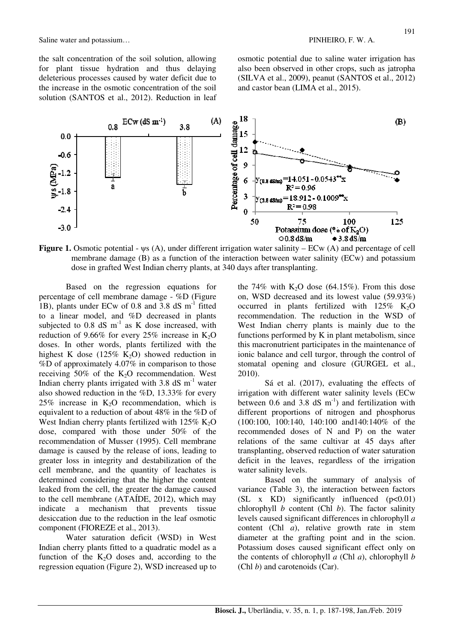Saline water and potassium... The same state of the set of the set of the PINHEIRO, F. W. A.

the salt concentration of the soil solution, allowing for plant tissue hydration and thus delaying deleterious processes caused by water deficit due to the increase in the osmotic concentration of the soil solution (SANTOS et al., 2012). Reduction in leaf osmotic potential due to saline water irrigation has also been observed in other crops, such as jatropha (SILVA et al., 2009), peanut (SANTOS et al., 2012) and castor bean (LIMA et al., 2015).



**Figure 1.** Osmotic potential - ψs (A), under different irrigation water salinity – ECw (A) and percentage of cell membrane damage (B) as a function of the interaction between water salinity (ECw) and potassium dose in grafted West Indian cherry plants, at 340 days after transplanting.

Based on the regression equations for percentage of cell membrane damage - %D (Figure 1B), plants under ECw of 0.8 and 3.8 dS  $m^{-1}$  fitted to a linear model, and %D decreased in plants subjected to  $0.8$  dS  $m^{-1}$  as K dose increased, with reduction of 9.66% for every 25% increase in  $K_2O$ doses. In other words, plants fertilized with the highest K dose (125%  $\overline{K}_2$ O) showed reduction in %D of approximately 4.07% in comparison to those receiving  $50\%$  of the K<sub>2</sub>O recommendation. West Indian cherry plants irrigated with 3.8 dS  $m^{-1}$  water also showed reduction in the %D, 13.33% for every  $25\%$  increase in K<sub>2</sub>O recommendation, which is equivalent to a reduction of about 48% in the %D of West Indian cherry plants fertilized with  $125\%$  K<sub>2</sub>O dose, compared with those under 50% of the recommendation of Musser (1995). Cell membrane damage is caused by the release of ions, leading to greater loss in integrity and destabilization of the cell membrane, and the quantity of leachates is determined considering that the higher the content leaked from the cell, the greater the damage caused to the cell membrane (ATAÍDE, 2012), which may indicate a mechanism that prevents tissue desiccation due to the reduction in the leaf osmotic component (FIOREZE et al., 2013).

Water saturation deficit (WSD) in West Indian cherry plants fitted to a quadratic model as a function of the  $K_2O$  doses and, according to the regression equation (Figure 2), WSD increased up to the 74% with  $K<sub>2</sub>O$  dose (64.15%). From this dose on, WSD decreased and its lowest value (59.93%) occurred in plants fertilized with  $125\%$  K<sub>2</sub>O recommendation. The reduction in the WSD of West Indian cherry plants is mainly due to the functions performed by K in plant metabolism, since this macronutrient participates in the maintenance of ionic balance and cell turgor, through the control of stomatal opening and closure (GURGEL et al., 2010).

Sá et al. (2017), evaluating the effects of irrigation with different water salinity levels (ECw between 0.6 and 3.8 dS  $\text{m}^{-1}$ ) and fertilization with different proportions of nitrogen and phosphorus (100:100, 100:140, 140:100 and140:140% of the recommended doses of N and P) on the water relations of the same cultivar at 45 days after transplanting, observed reduction of water saturation deficit in the leaves, regardless of the irrigation water salinity levels.

Based on the summary of analysis of variance (Table 3), the interaction between factors (SL  $x$  KD) significantly influenced ( $p<0.01$ ) chlorophyll *b* content (Chl *b*). The factor salinity levels caused significant differences in chlorophyll *a* content (Chl *a*), relative growth rate in stem diameter at the grafting point and in the scion. Potassium doses caused significant effect only on the contents of chlorophyll *a* (Chl *a*), chlorophyll *b* (Chl *b*) and carotenoids (Car).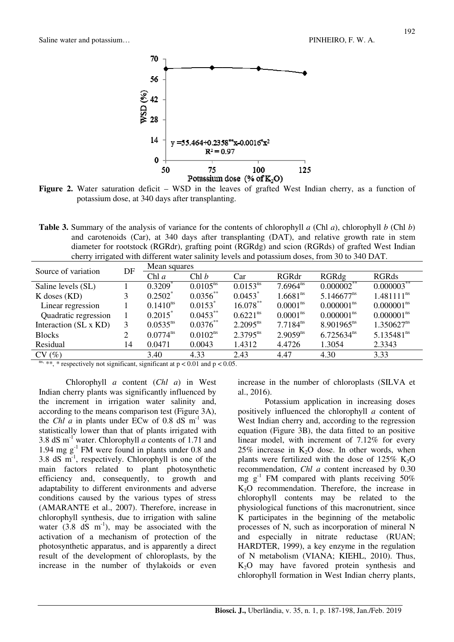

Figure 2. Water saturation deficit – WSD in the leaves of grafted West Indian cherry, as a function of potassium dose, at 340 days after transplanting.

**Table 3.** Summary of the analysis of variance for the contents of chlorophyll *a* (Chl *a*), chlorophyll *b* (Chl *b*) and carotenoids (Car), at 340 days after transplanting (DAT), and relative growth rate in stem diameter for rootstock (RGRdr), grafting point (RGRdg) and scion (RGRds) of grafted West Indian cherry irrigated with different water salinity levels and potassium doses, from 30 to 340 DAT.

| Source of variation   | DF | Mean squares          |                       |                       |                      |                        |                        |  |
|-----------------------|----|-----------------------|-----------------------|-----------------------|----------------------|------------------------|------------------------|--|
|                       |    | Chl $a$               | Chl b                 | Car                   | RGRdr                | RGRdg                  | <b>RGRds</b>           |  |
| Saline levels (SL)    |    | $0.3209$ <sup>*</sup> | $0.0105^{ns}$         | $0.0153^{ns}$         | $7.6964^{ns}$        | $0.000002^{**}$        | $0.000003$ **          |  |
| $K$ doses $(KD)$      |    | $0.2502^*$            | $0.0356^{**}$         | $0.0453$ <sup>*</sup> | $1.6681^{ns}$        | $5.146677^{ns}$        | $1.481111^{ns}$        |  |
| Linear regression     |    | $0.1410^{ns}$         | $0.0153$ <sup>*</sup> | $16.078***$           | 0.0001 <sup>ns</sup> | 0.000001 <sup>ns</sup> | 0.000001 <sup>ns</sup> |  |
| Quadratic regression  |    | $0.2015^*$            | $0.0453***$           | 0.6221 <sup>ns</sup>  | 0.0001 <sup>ns</sup> | 0.000001 <sup>ns</sup> | 0.000001 <sup>ns</sup> |  |
| Interaction (SL x KD) | 3  | $0.0535^{ns}$         | $0.0376^{**}$         | $2.2095^{ns}$         | $7.7184^{ns}$        | $8.901965^{ns}$        | $1.350627^{ns}$        |  |
| <b>Blocks</b>         | 2  | $0.0774^{\text{ns}}$  | $0.0102^{ns}$         | $2.3795^{ns}$         | $2.9059^{ns}$        | $6.725634^{ns}$        | $5.135481^{ns}$        |  |
| Residual              | 14 | 0.0471                | 0.0043                | 1.4312                | 4.4726               | 1.3054                 | 2.3343                 |  |
| CV(%)                 |    | 3.40                  | 4.33                  | 2.43                  | 4.47                 | 4.30                   | 3.33                   |  |

ns, \*\*, \* respectively not significant, significant at  $p < 0.01$  and  $p < 0.05$ .

Chlorophyll *a* content (*Chl a*) in West Indian cherry plants was significantly influenced by the increment in irrigation water salinity and, according to the means comparison test (Figure 3A), the *Chl a* in plants under ECw of 0.8 dS  $m^{-1}$  was statistically lower than that of plants irrigated with 3.8 dS m-1 water. Chlorophyll *a* contents of 1.71 and 1.94 mg g-1 FM were found in plants under 0.8 and 3.8 dS  $m^{-1}$ , respectively. Chlorophyll is one of the main factors related to plant photosynthetic efficiency and, consequently, to growth and adaptability to different environments and adverse conditions caused by the various types of stress (AMARANTE et al., 2007). Therefore, increase in chlorophyll synthesis, due to irrigation with saline water  $(3.8 \text{ dS} \text{ m}^{-1})$ , may be associated with the activation of a mechanism of protection of the photosynthetic apparatus, and is apparently a direct result of the development of chloroplasts, by the increase in the number of thylakoids or even

increase in the number of chloroplasts (SILVA et al., 2016).

Potassium application in increasing doses positively influenced the chlorophyll *a* content of West Indian cherry and, according to the regression equation (Figure 3B), the data fitted to an positive linear model, with increment of 7.12% for every  $25\%$  increase in K<sub>2</sub>O dose. In other words, when plants were fertilized with the dose of  $125\%$  K<sub>2</sub>O recommendation, *Chl a* content increased by 0.30 mg  $g^{-1}$  FM compared with plants receiving 50%  $K_2O$  recommendation. Therefore, the increase in chlorophyll contents may be related to the physiological functions of this macronutrient, since K participates in the beginning of the metabolic processes of N, such as incorporation of mineral N and especially in nitrate reductase (RUAN; HARDTER, 1999), a key enzyme in the regulation of N metabolism (VIANA; KIEHL, 2010). Thus, K2O may have favored protein synthesis and chlorophyll formation in West Indian cherry plants,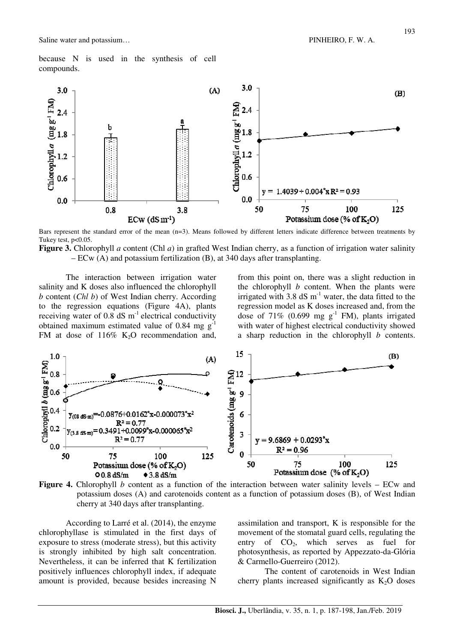because N is used in the synthesis of cell compounds.



Bars represent the standard error of the mean (n=3). Means followed by different letters indicate difference between treatments by Tukey test, p<0.05.

**Figure 3.** Chlorophyll *a* content (Chl *a*) in grafted West Indian cherry, as a function of irrigation water salinity – ECw (A) and potassium fertilization (B), at 340 days after transplanting.

The interaction between irrigation water salinity and K doses also influenced the chlorophyll *b* content (*Chl b*) of West Indian cherry. According to the regression equations (Figure 4A), plants receiving water of  $0.8 \text{ dS m}^{-1}$  electrical conductivity obtained maximum estimated value of 0.84 mg  $g^{-1}$ FM at dose of  $116\%$  K<sub>2</sub>O recommendation and, from this point on, there was a slight reduction in the chlorophyll *b* content. When the plants were irrigated with  $3.8 \text{ dS m}^{-1}$  water, the data fitted to the regression model as K doses increased and, from the dose of 71% (0.699 mg  $g^{-1}$  FM), plants irrigated with water of highest electrical conductivity showed a sharp reduction in the chlorophyll *b* contents.





According to Larré et al. (2014), the enzyme chlorophyllase is stimulated in the first days of exposure to stress (moderate stress), but this activity is strongly inhibited by high salt concentration. Nevertheless, it can be inferred that K fertilization positively influences chlorophyll index, if adequate amount is provided, because besides increasing N

assimilation and transport, K is responsible for the movement of the stomatal guard cells, regulating the entry of  $CO<sub>2</sub>$ , which serves as fuel for photosynthesis, as reported by Appezzato-da-Glória & Carmello-Guerreiro (2012).

The content of carotenoids in West Indian cherry plants increased significantly as  $K_2O$  doses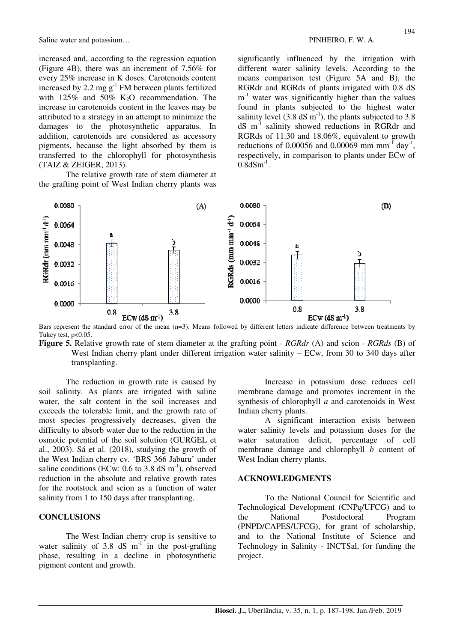Saline water and potassium... The same state of the set of the set of the PINHEIRO, F. W. A.

increased and, according to the regression equation (Figure 4B), there was an increment of 7.56% for every 25% increase in K doses. Carotenoids content increased by 2.2 mg  $g^{-1}$  FM between plants fertilized with  $125\%$  and  $50\%$  K<sub>2</sub>O recommendation. The increase in carotenoids content in the leaves may be attributed to a strategy in an attempt to minimize the damages to the photosynthetic apparatus. In addition, carotenoids are considered as accessory pigments, because the light absorbed by them is transferred to the chlorophyll for photosynthesis (TAIZ & ZEIGER, 2013).

The relative growth rate of stem diameter at the grafting point of West Indian cherry plants was significantly influenced by the irrigation with different water salinity levels. According to the means comparison test (Figure 5A and B), the RGRdr and RGRds of plants irrigated with 0.8 dS m<sup>-1</sup> water was significantly higher than the values found in plants subjected to the highest water salinity level  $(3.8 \text{ dS m}^{-1})$ , the plants subjected to 3.8 dS m-1 salinity showed reductions in RGRdr and RGRds of 11.30 and 18.06%, equivalent to growth reductions of 0.00056 and 0.00069 mm mm<sup>-1</sup> day<sup>-1</sup>, respectively, in comparison to plants under ECw of  $0.8$ dSm<sup>-1</sup>.



Bars represent the standard error of the mean (n=3). Means followed by different letters indicate difference between treatments by Tukey test, p<0.05.

**Figure 5.** Relative growth rate of stem diameter at the grafting point - *RGRdr* (A) and scion - *RGRds* (B) of West Indian cherry plant under different irrigation water salinity – ECw, from 30 to 340 days after transplanting.

The reduction in growth rate is caused by soil salinity. As plants are irrigated with saline water, the salt content in the soil increases and exceeds the tolerable limit, and the growth rate of most species progressively decreases, given the difficulty to absorb water due to the reduction in the osmotic potential of the soil solution (GURGEL et al., 2003). Sá et al. (2018), studying the growth of the West Indian cherry cv. 'BRS 366 Jaburu' under saline conditions (ECw:  $0.6$  to  $3.8$  dS m<sup>-1</sup>), observed reduction in the absolute and relative growth rates for the rootstock and scion as a function of water salinity from 1 to 150 days after transplanting.

### **CONCLUSIONS**

The West Indian cherry crop is sensitive to water salinity of  $3.8 \text{ dS} \text{ m}^{-1}$  in the post-grafting phase, resulting in a decline in photosynthetic pigment content and growth.

Increase in potassium dose reduces cell membrane damage and promotes increment in the synthesis of chlorophyll *a* and carotenoids in West Indian cherry plants.

A significant interaction exists between water salinity levels and potassium doses for the water saturation deficit, percentage of cell membrane damage and chlorophyll *b* content of West Indian cherry plants.

#### **ACKNOWLEDGMENTS**

To the National Council for Scientific and Technological Development (CNPq/UFCG) and to the National Postdoctoral Program (PNPD/CAPES/UFCG), for grant of scholarship, and to the National Institute of Science and Technology in Salinity - INCTSal, for funding the project.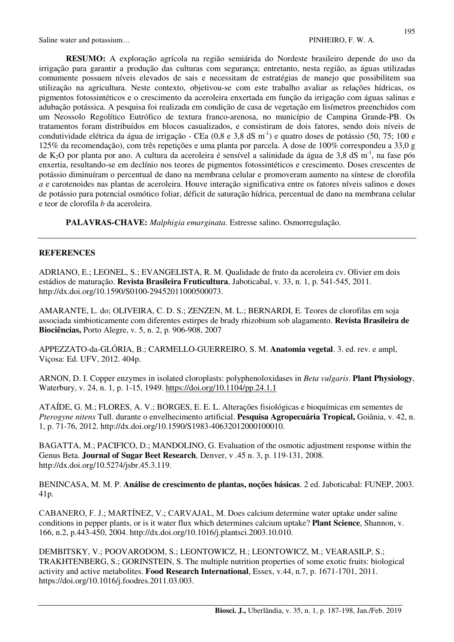**RESUMO:** A exploração agrícola na região semiárida do Nordeste brasileiro depende do uso da irrigação para garantir a produção das culturas com segurança; entretanto, nesta região, as águas utilizadas comumente possuem níveis elevados de sais e necessitam de estratégias de manejo que possibilitem sua utilização na agricultura. Neste contexto, objetivou-se com este trabalho avaliar as relações hídricas, os pigmentos fotossintéticos e o crescimento da aceroleira enxertada em função da irrigação com águas salinas e adubação potássica. A pesquisa foi realizada em condição de casa de vegetação em lisímetros preenchidos com um Neossolo Regolítico Eutrófico de textura franco-arenosa, no município de Campina Grande-PB. Os tratamentos foram distribuídos em blocos casualizados, e consistiram de dois fatores, sendo dois níveis de condutividade elétrica da água de irrigação - CEa  $(0.8 \text{ e } 3.8 \text{ dS m}^{-1})$  e quatro doses de potássio  $(50, 75; 100 \text{ e }$ 125% da recomendação), com três repetições e uma planta por parcela. A dose de 100% correspondeu a 33,0 g de K<sub>2</sub>O por planta por ano. A cultura da aceroleira é sensível a salinidade da água de 3,8 dS m<sup>-1</sup>, na fase pós enxertia, resultando-se em declínio nos teores de pigmentos fotossintéticos e crescimento. Doses crescentes de potássio diminuíram o percentual de dano na membrana celular e promoveram aumento na síntese de clorofila *a* e carotenoides nas plantas de aceroleira. Houve interação significativa entre os fatores níveis salinos e doses de potássio para potencial osmótico foliar, déficit de saturação hídrica, percentual de dano na membrana celular e teor de clorofila *b* da aceroleira.

**PALAVRAS-CHAVE:** *Malphigia emarginata.* Estresse salino. Osmorregulação.

### **REFERENCES**

ADRIANO, E.; LEONEL, S.; EVANGELISTA, R. M. Qualidade de fruto da aceroleira cv. Olivier em dois estádios de maturação. **Revista Brasileira Fruticultura**, Jaboticabal, v. 33, n. 1, p. 541-545, 2011. http://dx.doi.org/10.1590/S0100-29452011000500073.

AMARANTE, L. do; OLIVEIRA, C. D. S.; ZENZEN, M. L.; BERNARDI, E. Teores de clorofilas em soja associada simbioticamente com diferentes estirpes de brady rhizobium sob alagamento. **Revista Brasileira de Biociências,** Porto Alegre, v. 5, n. 2, p. 906-908, 2007

APPEZZATO-da-GLÓRIA, B.; CARMELLO-GUERREIRO, S. M. **Anatomia vegetal**. 3. ed. rev. e ampl, Viçosa: Ed. UFV, 2012. 404p.

ARNON, D. I. Copper enzymes in isolated cloroplasts: polyphenoloxidases in *Beta vulgaris*. **Plant Physiology**, Waterbury, v. 24, n. 1, p. 1-15, 1949. https://doi.org/10.1104/pp.24.1.1

ATAÍDE, G. M.; FLORES, A. V.; BORGES, E. E. L. Alterações fisiológicas e bioquímicas em sementes de *Pterogyne nitens* Tull. durante o envelhecimento artificial. **Pesquisa Agropecuária Tropical,** Goiânia, v. 42, n. 1, p. 71-76, 2012. http://dx.doi.org/10.1590/S1983-40632012000100010.

BAGATTA, M.; PACIFICO, D.; MANDOLINO, G. Evaluation of the osmotic adjustment response within the Genus Beta. **Journal of Sugar Beet Research**, Denver, v .45 n. 3, p. 119-131, 2008. http://dx.doi.org/10.5274/jsbr.45.3.119.

BENINCASA, M. M. P. **Análise de crescimento de plantas, noções básicas**. 2 ed. Jaboticabal: FUNEP, 2003. 41p.

CABANERO, F. J.; MARTÍNEZ, V.; CARVAJAL, M. Does calcium determine water uptake under saline conditions in pepper plants, or is it water flux which determines calcium uptake? **Plant Science**, Shannon, v. 166, n.2, p.443-450, 2004. http://dx.doi.org/10.1016/j.plantsci.2003.10.010.

DEMBITSKY, V.; POOVARODOM, S.; LEONTOWICZ, H.; LEONTOWICZ, M.; VEARASILP, S.; TRAKHTENBERG, S.; GORINSTEIN, S. The multiple nutrition properties of some exotic fruits: biological activity and active metabolites. **Food Research International**, Essex, v.44, n.7, p. 1671-1701, 2011. https://doi.org/10.1016/j.foodres.2011.03.003.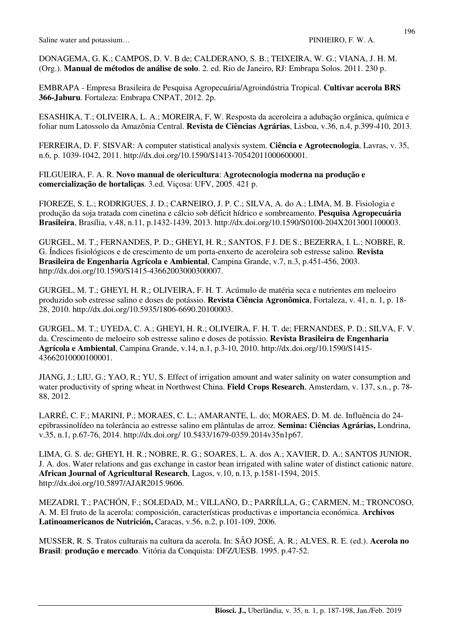DONAGEMA, G. K.; CAMPOS, D. V. B de; CALDERANO, S. B.; TEIXEIRA, W. G.; VIANA, J. H. M. (Org.). **Manual de métodos de análise de solo**. 2. ed. Rio de Janeiro, RJ: Embrapa Solos. 2011. 230 p.

EMBRAPA - Empresa Brasileira de Pesquisa Agropecuária/Agroindústria Tropical. **Cultivar acerola BRS 366-Jaburu**. Fortaleza: Embrapa CNPAT, 2012. 2p.

ESASHIKA, T.; OLIVEIRA, L. A.; MOREIRA, F, W. Resposta da aceroleira a adubação orgânica, química e foliar num Latossolo da Amazônia Central. **Revista de Ciências Agrárias**, Lisboa, v.36, n.4, p.399-410, 2013.

FERREIRA, D. F. SISVAR: A computer statistical analysis system. **Ciência e Agrotecnologia**, Lavras, v. 35, n.6, p. 1039-1042, 2011. http://dx.doi.org/10.1590/S1413-70542011000600001.

FILGUEIRA, F. A. R. **Novo manual de olericultura**: **Agrotecnologia moderna na produção e comercialização de hortaliças**. 3.ed. Viçosa: UFV, 2005. 421 p.

FIOREZE, S. L.; RODRIGUES, J. D.; CARNEIRO, J. P. C.; SILVA, A. do A.; LIMA, M. B. Fisiologia e produção da soja tratada com cinetina e cálcio sob déficit hídrico e sombreamento. **Pesquisa Agropecuária Brasileira**, Brasília, v.48, n.11, p.1432-1439, 2013. http://dx.doi.org/10.1590/S0100-204X2013001100003.

GURGEL, M. T.; FERNANDES, P. D.; GHEYI, H. R.; SANTOS, F J. DE S.; BEZERRA, I. L.; NOBRE, R. G. Índices fisiológicos e de crescimento de um porta-enxerto de aceroleira sob estresse salino. **Revista Brasileira de Engenharia Agrícola e Ambiental**, Campina Grande, v.7, n.3, p.451-456, 2003. http://dx.doi.org/10.1590/S1415-43662003000300007.

GURGEL, M. T.; GHEYI, H. R.; OLIVEIRA, F. H. T. Acúmulo de matéria seca e nutrientes em meloeiro produzido sob estresse salino e doses de potássio. **Revista Ciência Agronômica**, Fortaleza, v. 41, n. 1, p. 18- 28, 2010. http://dx.doi.org/10.5935/1806-6690.20100003.

GURGEL, M. T.; UYEDA, C. A.; GHEYI, H. R.; OLIVEIRA, F. H. T. de; FERNANDES, P. D.; SILVA, F. V. da. Crescimento de meloeiro sob estresse salino e doses de potássio. **Revista Brasileira de Engenharia Agrícola e Ambiental**, Campina Grande, v.14, n.1, p.3-10, 2010. http://dx.doi.org/10.1590/S1415- 43662010000100001.

JIANG, J.; LIU, G.; YAO, R.; YU, S. Effect of irrigation amount and water salinity on water consumption and water productivity of spring wheat in Northwest China. **Field Crops Research**, Amsterdam, v. 137, s.n., p. 78- 88, 2012.

LARRÉ, C. F.; MARINI, P.; MORAES, C. L.; AMARANTE, L. do; MORAES, D. M. de. Influência do 24 epibrassinolídeo na tolerância ao estresse salino em plântulas de arroz. **Semina: Ciências Agrárias,** Londrina, v.35, n.1, p.67-76, 2014. http://dx.doi.org/ 10.5433/1679-0359.2014v35n1p67.

LIMA, G. S. de; GHEYI, H. R.; NOBRE, R. G.; SOARES, L. A. dos A.; XAVIER, D. A.; SANTOS JUNIOR, J. A. dos. Water relations and gas exchange in castor bean irrigated with saline water of distinct cationic nature. **African Journal of Agricultural Research**, Lagos, v.10, n.13, p.1581-1594, 2015. http://dx.doi.org/10.5897/AJAR2015.9606.

MEZADRI, T.; PACHÓN, F.; SOLEDAD, M.; VILLAÑO, D.; PARRÍLLA, G.; CARMEN, M.; TRONCOSO, A. M. El fruto de la acerola: composición, características productivas e importancia económica. **Archivos Latinoamericanos de Nutrición,** Caracas, v.56, n.2, p.101-109, 2006.

MUSSER, R. S. Tratos culturais na cultura da acerola. In: SÃO JOSÉ, A. R.; ALVES, R. E. (ed.). **Acerola no Brasil**: **produção e mercado**. Vitória da Conquista: DFZ/UESB. 1995. p.47-52.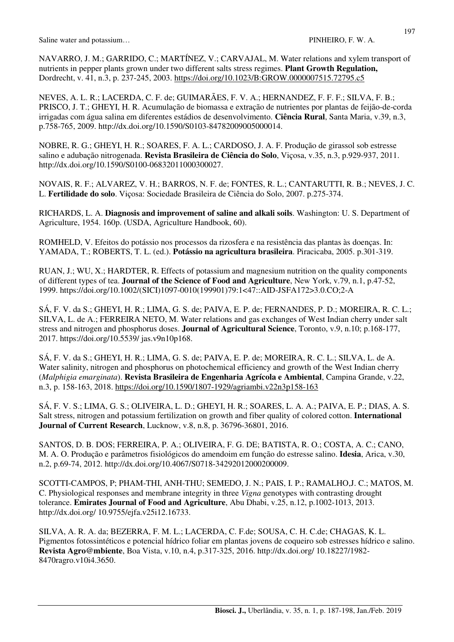NAVARRO, J. M.; GARRIDO, C.; MARTÍNEZ, V.; CARVAJAL, M. Water relations and xylem transport of nutrients in pepper plants grown under two different salts stress regimes. **Plant Growth Regulation,** Dordrecht, v. 41, n.3, p. 237-245, 2003. https://doi.org/10.1023/B:GROW.0000007515.72795.c5

NEVES, A. L. R.; LACERDA, C. F. de; GUIMARÃES, F. V. A.; HERNANDEZ, F. F. F.; SILVA, F. B.; PRISCO, J. T.; GHEYI, H. R. Acumulação de biomassa e extração de nutrientes por plantas de feijão-de-corda irrigadas com água salina em diferentes estádios de desenvolvimento. **Ciência Rural**, Santa Maria, v.39, n.3, p.758-765, 2009. http://dx.doi.org/10.1590/S0103-84782009005000014.

NOBRE, R. G.; GHEYI, H. R.; SOARES, F. A. L.; CARDOSO, J. A. F. Produção de girassol sob estresse salino e adubação nitrogenada. **Revista Brasileira de Ciência do Solo**, Viçosa, v.35, n.3, p.929-937, 2011. http://dx.doi.org/10.1590/S0100-06832011000300027.

NOVAIS, R. F.; ALVAREZ, V. H.; BARROS, N. F. de; FONTES, R. L.; CANTARUTTI, R. B.; NEVES, J. C. L. **Fertilidade do solo**. Viçosa: Sociedade Brasileira de Ciência do Solo, 2007. p.275-374.

RICHARDS, L. A. **Diagnosis and improvement of saline and alkali soils**. Washington: U. S. Department of Agriculture, 1954. 160p. (USDA, Agriculture Handbook, 60).

ROMHELD, V. Efeitos do potássio nos processos da rizosfera e na resistência das plantas às doenças. In: YAMADA, T.; ROBERTS, T. L. (ed.). **Potássio na agricultura brasileira**. Piracicaba, 2005. p.301-319.

RUAN, J.; WU, X.; HARDTER, R. Effects of potassium and magnesium nutrition on the quality components of different types of tea. **Journal of the Science of Food and Agriculture**, New York, v.79, n.1, p.47-52, 1999. https://doi.org/10.1002/(SICI)1097-0010(199901)79:1<47::AID-JSFA172>3.0.CO;2-A

SÁ, F. V. da S.; GHEYI, H. R.; LIMA, G. S. de; PAIVA, E. P. de; FERNANDES, P. D.; MOREIRA, R. C. L.; SILVA, L. de A.; FERREIRA NETO, M. Water relations and gas exchanges of West Indian cherry under salt stress and nitrogen and phosphorus doses. **Journal of Agricultural Science**, Toronto, v.9, n.10; p.168-177, 2017. https://doi.org/10.5539/ jas.v9n10p168.

SÁ, F. V. da S.; GHEYI, H. R.; LIMA, G. S. de; PAIVA, E. P. de; MOREIRA, R. C. L.; SILVA, L. de A. Water salinity, nitrogen and phosphorus on photochemical efficiency and growth of the West Indian cherry (*Malphigia emarginata*). **Revista Brasileira de Engenharia Agrícola e Ambiental**, Campina Grande, v.22, n.3, p. 158-163, 2018. https://doi.org/10.1590/1807-1929/agriambi.v22n3p158-163

SÁ, F. V. S.; LIMA, G. S.; OLIVEIRA, L. D.; GHEYI, H. R.; SOARES, L. A. A.; PAIVA, E. P.; DIAS, A. S. Salt stress, nitrogen and potassium fertilization on growth and fiber quality of colored cotton. **International Journal of Current Research**, Lucknow, v.8, n.8, p. 36796-36801, 2016.

SANTOS, D. B. DOS; FERREIRA, P. A.; OLIVEIRA, F. G. DE; BATISTA, R. O.; COSTA, A. C.; CANO, M. A. O. Produção e parâmetros fisiológicos do amendoim em função do estresse salino. **Idesia**, Arica, v.30, n.2, p.69-74, 2012. http://dx.doi.org/10.4067/S0718-34292012000200009.

SCOTTI-CAMPOS, P; PHAM-THI, ANH-THU; SEMEDO, J. N.; PAIS, I. P.; RAMALHO,J. C.; MATOS, M. C. Physiological responses and membrane integrity in three *Vigna* genotypes with contrasting drought tolerance. **Emirates Journal of Food and Agriculture**, Abu Dhabi, v.25, n.12, p.1002-1013, 2013. http://dx.doi.org/ 10.9755/ejfa.v25i12.16733.

SILVA, A. R. A. da; BEZERRA, F. M. L.; LACERDA, C. F.de; SOUSA, C. H. C.de; CHAGAS, K. L. Pigmentos fotossintéticos e potencial hídrico foliar em plantas jovens de coqueiro sob estresses hídrico e salino. **Revista Agro@mbiente**, Boa Vista, v.10, n.4, p.317-325, 2016. http://dx.doi.org/ 10.18227/1982- 8470ragro.v10i4.3650.